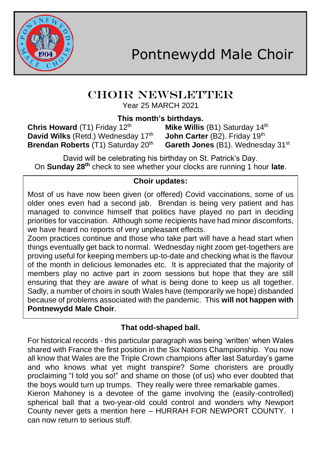

# CHOIR NEWSLETTER

Year 25 MARCH 2021

# **This month's birthdays.**

**Chris Howard** (T1) Friday 12<sup>th</sup> **Mike Willis** (B1) Saturday 14<sup>th</sup> **David Wilks** (Retd.) Wednesday 17<sup>th</sup> John Carter (B2). Friday 19<sup>th</sup> **Brendan Roberts** (T1) Saturday 20<sup>th</sup>

Gareth Jones (B1). Wednesday 31<sup>st</sup>

David will be celebrating his birthday on St. Patrick's Day. On **Sunday 28th** check to see whether your clocks are running 1 hour **late**.

# **Choir updates:**

Most of us have now been given (or offered) Covid vaccinations, some of us older ones even had a second jab. Brendan is being very patient and has managed to convince himself that politics have played no part in deciding priorities for vaccination. Although some recipients have had minor discomforts, we have heard no reports of very unpleasant effects.

Zoom practices continue and those who take part will have a head start when things eventually get back to normal. Wednesday night zoom get-togethers are proving useful for keeping members up-to-date and checking what is the flavour of the month in delicious lemonades etc. It is appreciated that the majority of members play no active part in zoom sessions but hope that they are still ensuring that they are aware of what is being done to keep us all together. Sadly, a number of choirs in south Wales have (temporarily we hope) disbanded because of problems associated with the pandemic. This **will not happen with Pontnewydd Male Choir**.

## **That odd-shaped ball.**

For historical records - this particular paragraph was being 'written' when Wales shared with France the first position in the Six Nations Championship. You now all know that Wales are the Triple Crown champions after last Saturday's game and who knows what yet might transpire? Some choristers are proudly proclaiming "I told you so!" and shame on those (of us) who ever doubted that the boys would turn up trumps. They really were three remarkable games.

Kieron Mahoney is a devotee of the game involving the (easily-controlled) spherical ball that a two-year-old could control and wonders why Newport County never gets a mention here – HURRAH FOR NEWPORT COUNTY. I can now return to serious stuff.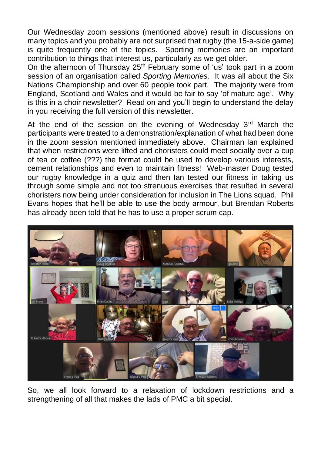Our Wednesday zoom sessions (mentioned above) result in discussions on many topics and you probably are not surprised that rugby (the 15-a-side game) is quite frequently one of the topics. Sporting memories are an important contribution to things that interest us, particularly as we get older.

On the afternoon of Thursday 25<sup>th</sup> February some of 'us' took part in a zoom session of an organisation called *Sporting Memories*. It was all about the Six Nations Championship and over 60 people took part. The majority were from England, Scotland and Wales and it would be fair to say 'of mature age'. Why is this in a choir newsletter? Read on and you'll begin to understand the delay in you receiving the full version of this newsletter.

At the end of the session on the evening of Wednesday  $3<sup>rd</sup>$  March the participants were treated to a demonstration/explanation of what had been done in the zoom session mentioned immediately above. Chairman Ian explained that when restrictions were lifted and choristers could meet socially over a cup of tea or coffee (???) the format could be used to develop various interests, cement relationships and even to maintain fitness! Web-master Doug tested our rugby knowledge in a quiz and then Ian tested our fitness in taking us through some simple and not too strenuous exercises that resulted in several choristers now being under consideration for inclusion in The Lions squad. Phil Evans hopes that he'll be able to use the body armour, but Brendan Roberts has already been told that he has to use a proper scrum cap.



So, we all look forward to a relaxation of lockdown restrictions and a strengthening of all that makes the lads of PMC a bit special.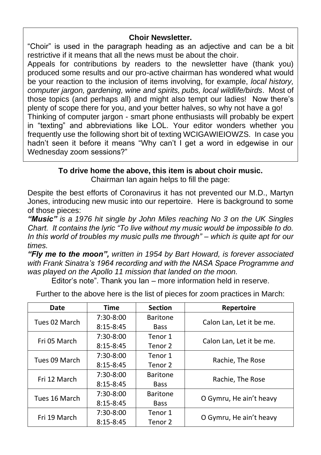#### **Choir Newsletter.**

"Choir" is used in the paragraph heading as an adjective and can be a bit restrictive if it means that all the news must be about the choir.

Appeals for contributions by readers to the newsletter have (thank you) produced some results and our pro-active chairman has wondered what would be your reaction to the inclusion of items involving, for example, *local history, computer jargon, gardening, wine and spirits, pubs, local wildlife/birds*. Most of those topics (and perhaps all) and might also tempt our ladies! Now there's plenty of scope there for you, and your better halves, so why not have a go! Thinking of computer jargon - smart phone enthusiasts will probably be expert in "texting" and abbreviations like LOL. Your editor wonders whether you frequently use the following short bit of texting WCIGAWIEIOWZS. In case you hadn't seen it before it means "Why can't I get a word in edgewise in our Wednesday zoom sessions?"

**To drive home the above, this item is about choir music.**

Chairman Ian again helps to fill the page:

Despite the best efforts of Coronavirus it has not prevented our M.D., Martyn Jones, introducing new music into our repertoire. Here is background to some of those pieces:

*"Music" is a 1976 hit single by John Miles reaching No 3 on the UK Singles Chart. It contains the lyric "To live without my music would be impossible to do. In this world of troubles my music pulls me through" – which is quite apt for our times.*

*"Fly me to the moon", written in 1954 by Bart Howard, is forever associated with Frank Sinatra's 1964 recording and with the NASA Space Programme and was played on the Apollo 11 mission that landed on the moon.*

Editor's note". Thank you Ian – more information held in reserve.

Further to the above here is the list of pieces for zoom practices in March:

| Date          | <b>Time</b>   | <b>Section</b>  | Repertoire               |
|---------------|---------------|-----------------|--------------------------|
| Tues 02 March | $7:30-8:00$   | <b>Baritone</b> | Calon Lan, Let it be me. |
|               | $8:15 - 8:45$ | <b>Bass</b>     |                          |
| Fri 05 March  | $7:30-8:00$   | Tenor 1         | Calon Lan, Let it be me. |
|               | $8:15 - 8:45$ | Tenor 2         |                          |
| Tues 09 March | $7:30-8:00$   | Tenor 1         | Rachie, The Rose         |
|               | $8:15 - 8:45$ | Tenor 2         |                          |
| Fri 12 March  | $7:30-8:00$   | <b>Baritone</b> | Rachie, The Rose         |
|               | $8:15 - 8:45$ | <b>Bass</b>     |                          |
| Tues 16 March | $7:30-8:00$   | <b>Baritone</b> | O Gymru, He ain't heavy  |
|               | $8:15 - 8:45$ | <b>Bass</b>     |                          |
| Fri 19 March  | $7:30-8:00$   | Tenor 1         | O Gymru, He ain't heavy  |
|               | $8:15 - 8:45$ | Tenor 2         |                          |